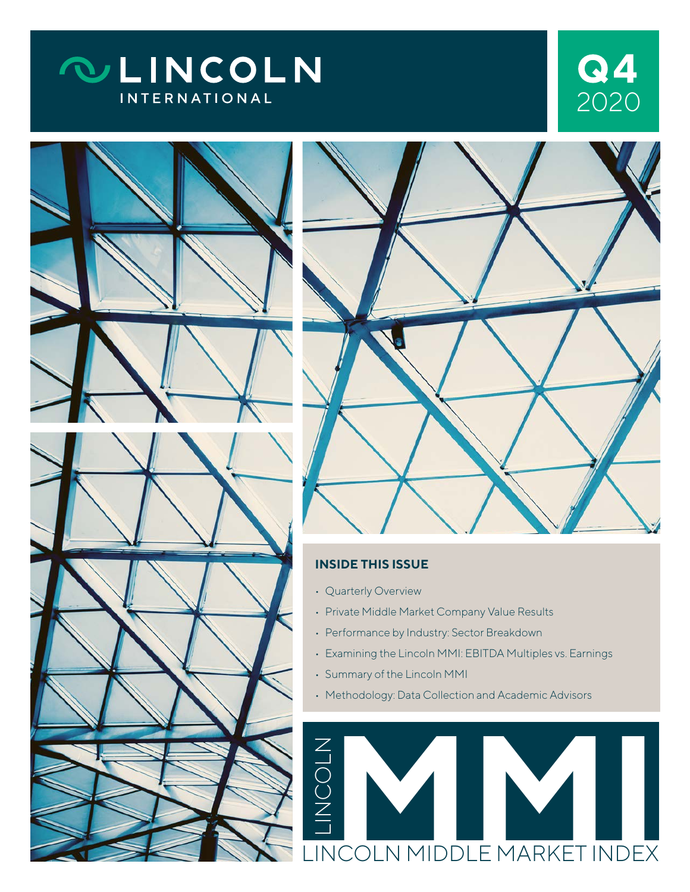# **QLINCOLN INTERNATIONAL**







### **INSIDE THIS ISSUE**

- Quarterly Overview
- Private Middle Market Company Value Results
- Performance by Industry: Sector Breakdown
- Examining the Lincoln MMI: EBITDA Multiples vs. Earnings
- Summary of the Lincoln MMI
- Methodology: Data Collection and Academic Advisors

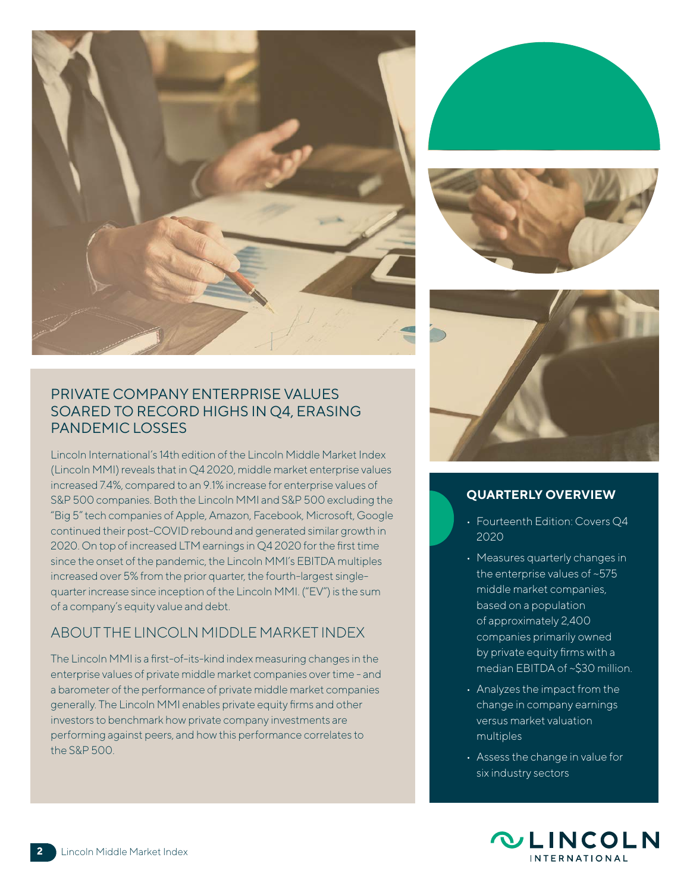







# **QUARTERLY OVERVIEW**

- Fourteenth Edition: Covers Q4 2020
- Measures quarterly changes in the enterprise values of ~575 middle market companies, based on a population of approximately 2,400 companies primarily owned by private equity firms with a median EBITDA of ~\$30 million.
- Analyzes the impact from the change in company earnings versus market valuation multiples
- Assess the change in value for six industry sectors



### PRIVATE COMPANY ENTERPRISE VALUES SOARED TO RECORD HIGHS IN Q4, ERASING PANDEMIC LOSSES

Lincoln International's 14th edition of the Lincoln Middle Market Index (Lincoln MMI) reveals that in Q4 2020, middle market enterprise values increased 7.4%, compared to an 9.1% increase for enterprise values of S&P 500 companies. Both the Lincoln MMI and S&P 500 excluding the "Big 5" tech companies of Apple, Amazon, Facebook, Microsoft, Google continued their post-COVID rebound and generated similar growth in 2020. On top of increased LTM earnings in Q4 2020 for the first time since the onset of the pandemic, the Lincoln MMI's EBITDA multiples increased over 5% from the prior quarter, the fourth-largest singlequarter increase since inception of the Lincoln MMI. ("EV") is the sum of a company's equity value and debt.

# ABOUT THE LINCOLN MIDDLE MARKET INDEX

The Lincoln MMI is a first-of-its-kind index measuring changes in the enterprise values of private middle market companies over time - and a barometer of the performance of private middle market companies generally. The Lincoln MMI enables private equity firms and other investors to benchmark how private company investments are performing against peers, and how this performance correlates to the S&P 500.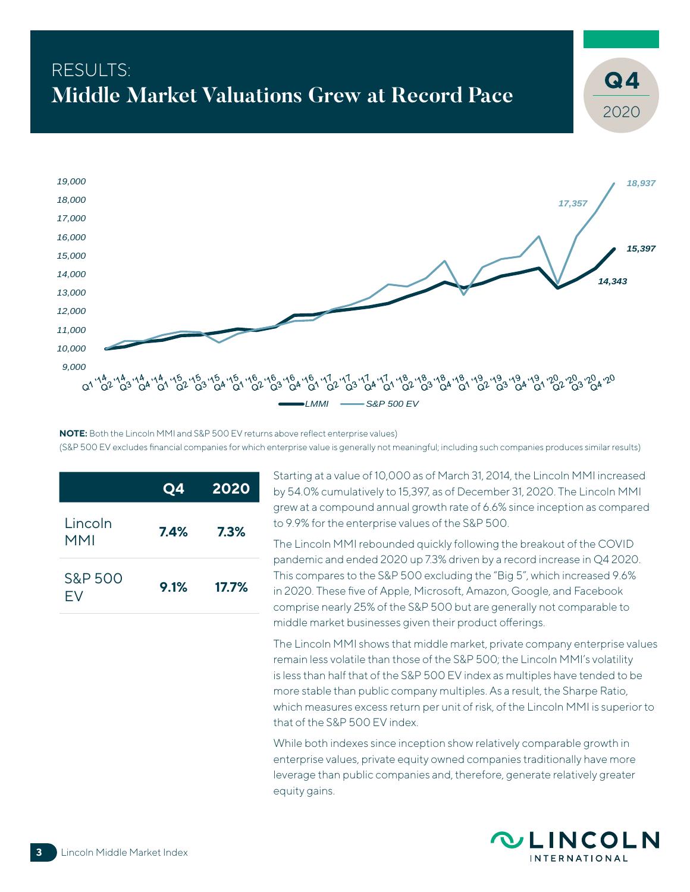# RESULTS:<br>M: 1.11 - M: dest Webertiese Queen at Decear Dece<sup>a</sup> Dece<sup>a</sup> (Q4 **Middle Market Valuations Grew at Record Pace**



**NOTE:** Both the Lincoln MMI and S&P 500 EV returns above reflect enterprise values) (S&P 500 EV excludes financial companies for which enterprise value is generally not meaningful; including such companies produces similar results)

|                       | Q4   | 2020    |
|-----------------------|------|---------|
| Lincoln<br><b>MMI</b> | 7.4% | $7.3\%$ |
| S&P 500<br>FV         | 9.1% | 17.7%   |

Starting at a value of 10,000 as of March 31, 2014, the Lincoln MMI increased by 54.0% cumulatively to 15,397, as of December 31, 2020. The Lincoln MMI grew at a compound annual growth rate of 6.6% since inception as compared to 9.9% for the enterprise values of the S&P 500.

The Lincoln MMI rebounded quickly following the breakout of the COVID pandemic and ended 2020 up 7.3% driven by a record increase in Q4 2020. This compares to the S&P 500 excluding the "Big 5", which increased 9.6% in 2020. These five of Apple, Microsoft, Amazon, Google, and Facebook comprise nearly 25% of the S&P 500 but are generally not comparable to middle market businesses given their product offerings.

The Lincoln MMI shows that middle market, private company enterprise values remain less volatile than those of the S&P 500; the Lincoln MMI's volatility is less than half that of the S&P 500 EV index as multiples have tended to be more stable than public company multiples. As a result, the Sharpe Ratio, which measures excess return per unit of risk, of the Lincoln MMI is superior to that of the S&P 500 EV index.

While both indexes since inception show relatively comparable growth in enterprise values, private equity owned companies traditionally have more leverage than public companies and, therefore, generate relatively greater equity gains.



2020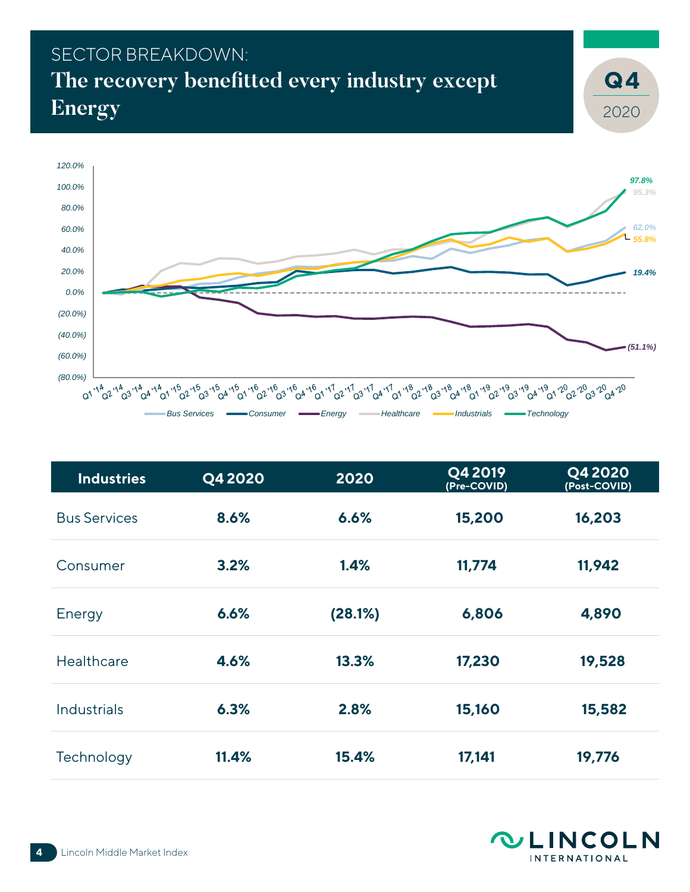# SECTOR BREAKDOWN: **The recovery benefitted every industry except Energy**



| <b>Industries</b>   | Q4 2020 | 2020    | Q4 2019<br>(Pre-COVID) | Q4 2020<br>(Post-COVID) |
|---------------------|---------|---------|------------------------|-------------------------|
| <b>Bus Services</b> | 8.6%    | 6.6%    | 15,200                 | 16,203                  |
| Consumer            | 3.2%    | 1.4%    | 11,774                 | 11,942                  |
| Energy              | 6.6%    | (28.1%) | 6,806                  | 4,890                   |
| Healthcare          | 4.6%    | 13.3%   | 17,230                 | 19,528                  |
| <b>Industrials</b>  | 6.3%    | 2.8%    | 15,160                 | 15,582                  |
| Technology          | 11.4%   | 15.4%   | 17,141                 | 19,776                  |



2020

**4**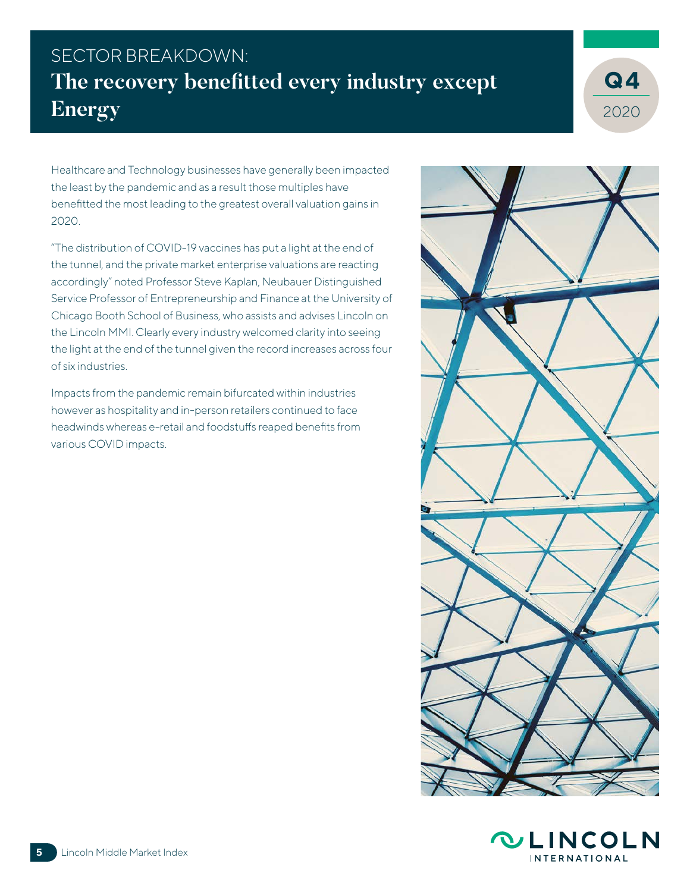# SECTOR BREAKDOWN: **The recovery benefitted every industry except Energy**



Healthcare and Technology businesses have generally been impacted the least by the pandemic and as a result those multiples have benefitted the most leading to the greatest overall valuation gains in 2020.

"The distribution of COVID-19 vaccines has put a light at the end of the tunnel, and the private market enterprise valuations are reacting accordingly" noted Professor Steve Kaplan, Neubauer Distinguished Service Professor of Entrepreneurship and Finance at the University of Chicago Booth School of Business, who assists and advises Lincoln on the Lincoln MMI. Clearly every industry welcomed clarity into seeing the light at the end of the tunnel given the record increases across four of six industries.

Impacts from the pandemic remain bifurcated within industries however as hospitality and in-person retailers continued to face headwinds whereas e-retail and foodstuffs reaped benefits from various COVID impacts.



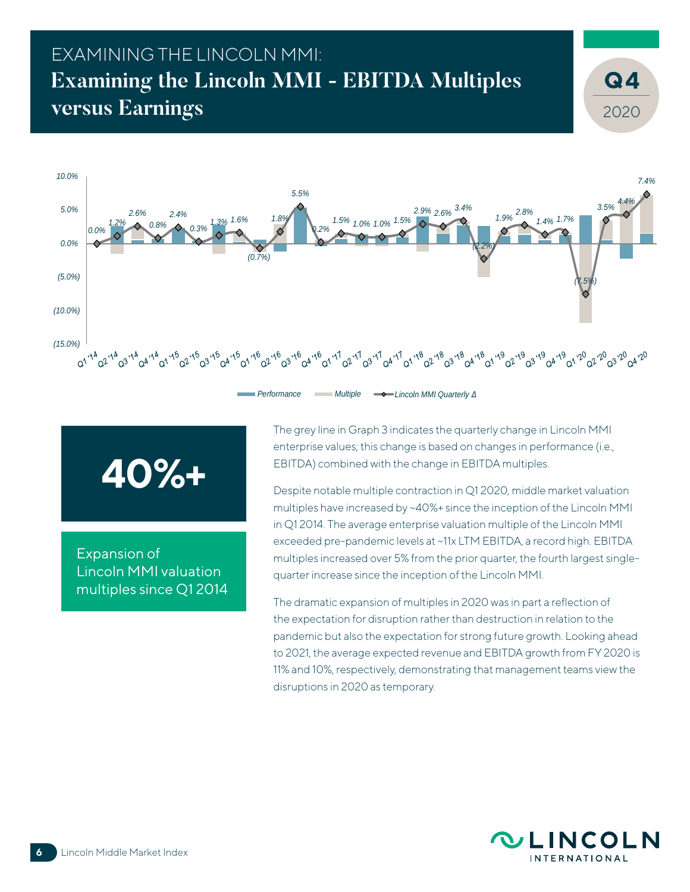# EXAMINING THE LINCOLN MMI: **Examining the Lincoln MMI - EBITDA Multiples versus Earnings**





Expansion of Lincoln MMI valuation multiples since Q1 2014 The grey line in Graph 3 indicates the quarterly change in Lincoln MMI enterprise values; this change is based on changes in performance (i.e., EBITDA) combined with the change in EBITDA multiples.

Despite notable multiple contraction in Q1 2020, middle market valuation multiples have increased by ~40%+ since the inception of the Lincoln MMI in Q1 2014. The average enterprise valuation multiple of the Lincoln MMI exceeded pre-pandemic levels at ~11x LTM EBITDA, a record high. EBITDA multiples increased over 5% from the prior quarter, the fourth largest singlequarter increase since the inception of the Lincoln MMI.

The dramatic expansion of multiples in 2020 was in part a reflection of the expectation for disruption rather than destruction in relation to the pandemic but also the expectation for strong future growth. Looking ahead to 2021, the average expected revenue and EBITDA growth from FY 2020 is 11% and 10%, respectively, demonstrating that management teams view the disruptions in 2020 as temporary.



2020

**4**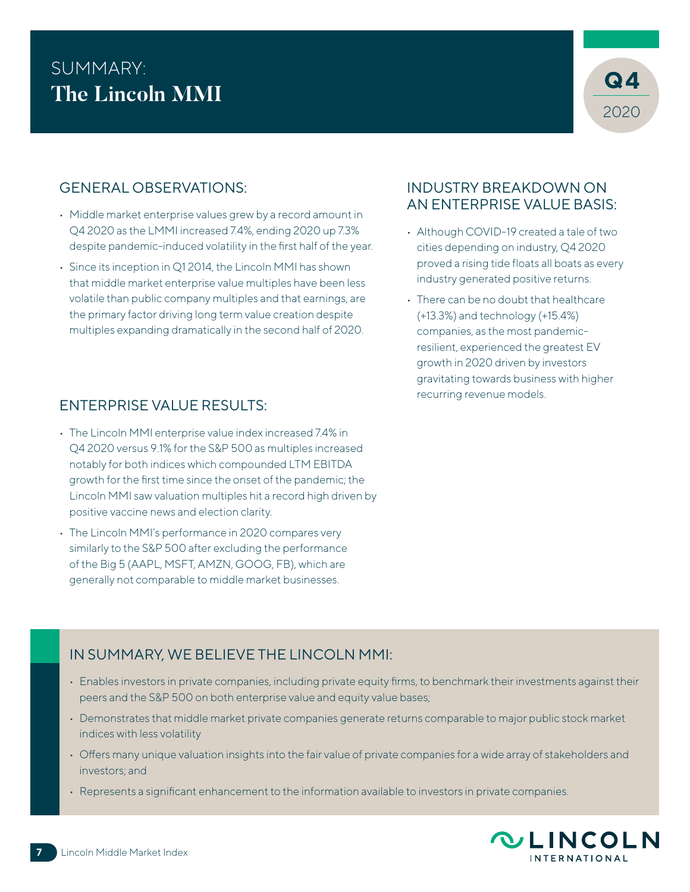# SUMMARY:<br>The Lineals MML **The Lincoln MMI**



## GENERAL OBSERVATIONS:

- Middle market enterprise values grew by a record amount in Q4 2020 as the LMMI increased 7.4%, ending 2020 up 7.3% despite pandemic-induced volatility in the first half of the year.
- Since its inception in Q1 2014, the Lincoln MMI has shown that middle market enterprise value multiples have been less volatile than public company multiples and that earnings, are the primary factor driving long term value creation despite multiples expanding dramatically in the second half of 2020.

## INDUSTRY BREAKDOWN ON AN ENTERPRISE VALUE BASIS:

- Although COVID-19 created a tale of two cities depending on industry, Q4 2020 proved a rising tide floats all boats as every industry generated positive returns.
- There can be no doubt that healthcare (+13.3%) and technology (+15.4%) companies, as the most pandemicresilient, experienced the greatest EV growth in 2020 driven by investors gravitating towards business with higher recurring revenue models.

## ENTERPRISE VALUE RESULTS:

- The Lincoln MMI enterprise value index increased 7.4% in Q4 2020 versus 9.1% for the S&P 500 as multiples increased notably for both indices which compounded LTM EBITDA growth for the first time since the onset of the pandemic; the Lincoln MMI saw valuation multiples hit a record high driven by positive vaccine news and election clarity.
- The Lincoln MMI's performance in 2020 compares very similarly to the S&P 500 after excluding the performance of the Big 5 (AAPL, MSFT, AMZN, GOOG, FB), which are generally not comparable to middle market businesses.

## IN SUMMARY, WE BELIEVE THE LINCOLN MMI:

- Enables investors in private companies, including private equity firms, to benchmark their investments against their peers and the S&P 500 on both enterprise value and equity value bases;
- Demonstrates that middle market private companies generate returns comparable to major public stock market indices with less volatility
- Offers many unique valuation insights into the fair value of private companies for a wide array of stakeholders and investors; and
- Represents a significant enhancement to the information available to investors in private companies.

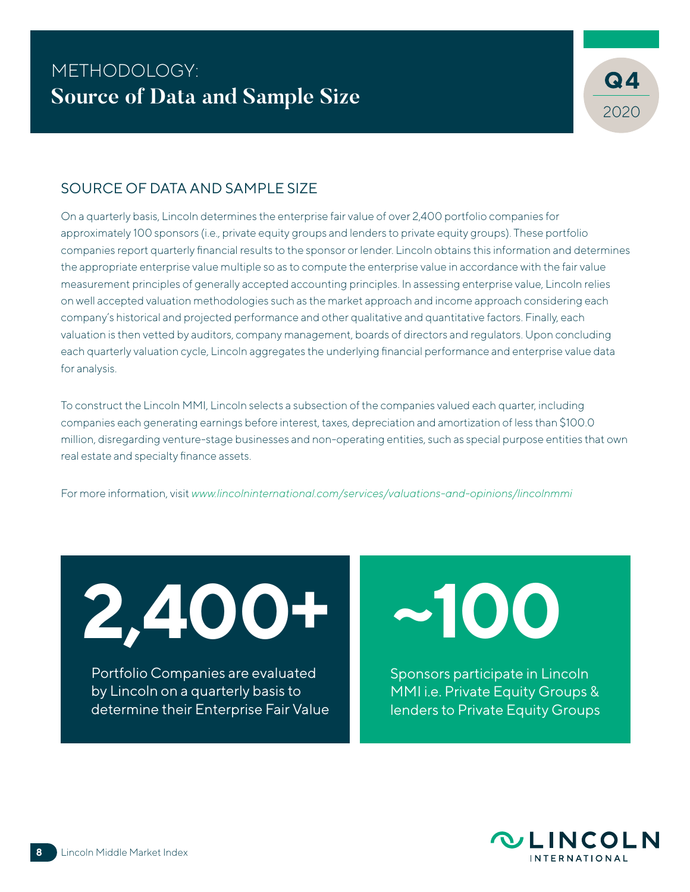

### SOURCE OF DATA AND SAMPLE SIZE

On a quarterly basis, Lincoln determines the enterprise fair value of over 2,400 portfolio companies for approximately 100 sponsors (i.e., private equity groups and lenders to private equity groups). These portfolio companies report quarterly financial results to the sponsor or lender. Lincoln obtains this information and determines the appropriate enterprise value multiple so as to compute the enterprise value in accordance with the fair value measurement principles of generally accepted accounting principles. In assessing enterprise value, Lincoln relies on well accepted valuation methodologies such as the market approach and income approach considering each company's historical and projected performance and other qualitative and quantitative factors. Finally, each valuation is then vetted by auditors, company management, boards of directors and regulators. Upon concluding each quarterly valuation cycle, Lincoln aggregates the underlying financial performance and enterprise value data for analysis.

To construct the Lincoln MMI, Lincoln selects a subsection of the companies valued each quarter, including companies each generating earnings before interest, taxes, depreciation and amortization of less than \$100.0 million, disregarding venture-stage businesses and non-operating entities, such as special purpose entities that own real estate and specialty finance assets.

For more information, visit *www.lincolninternational.com/services/valuations-and-opinions/lincolnmmi*

**2,400+**

Portfolio Companies are evaluated by Lincoln on a quarterly basis to determine their Enterprise Fair Value **~100**

Sponsors participate in Lincoln MMI i.e. Private Equity Groups & lenders to Private Equity Groups

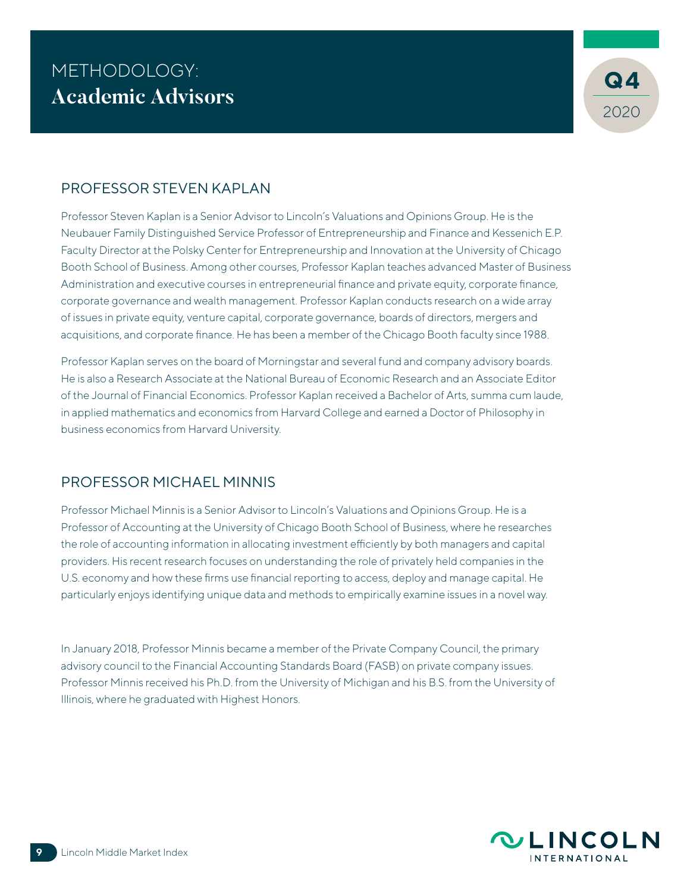

### PROFESSOR STEVEN KAPLAN

Professor Steven Kaplan is a Senior Advisor to Lincoln's Valuations and Opinions Group. He is the Neubauer Family Distinguished Service Professor of Entrepreneurship and Finance and Kessenich E.P. Faculty Director at the Polsky Center for Entrepreneurship and Innovation at the University of Chicago Booth School of Business. Among other courses, Professor Kaplan teaches advanced Master of Business Administration and executive courses in entrepreneurial finance and private equity, corporate finance, corporate governance and wealth management. Professor Kaplan conducts research on a wide array of issues in private equity, venture capital, corporate governance, boards of directors, mergers and acquisitions, and corporate finance. He has been a member of the Chicago Booth faculty since 1988.

Professor Kaplan serves on the board of Morningstar and several fund and company advisory boards. He is also a Research Associate at the National Bureau of Economic Research and an Associate Editor of the Journal of Financial Economics. Professor Kaplan received a Bachelor of Arts, summa cum laude, in applied mathematics and economics from Harvard College and earned a Doctor of Philosophy in business economics from Harvard University.

### PROFESSOR MICHAEL MINNIS

Professor Michael Minnis is a Senior Advisor to Lincoln's Valuations and Opinions Group. He is a Professor of Accounting at the University of Chicago Booth School of Business, where he researches the role of accounting information in allocating investment efficiently by both managers and capital providers. His recent research focuses on understanding the role of privately held companies in the U.S. economy and how these firms use financial reporting to access, deploy and manage capital. He particularly enjoys identifying unique data and methods to empirically examine issues in a novel way.

In January 2018, Professor Minnis became a member of the Private Company Council, the primary advisory council to the Financial Accounting Standards Board (FASB) on private company issues. Professor Minnis received his Ph.D. from the University of Michigan and his B.S. from the University of Illinois, where he graduated with Highest Honors.